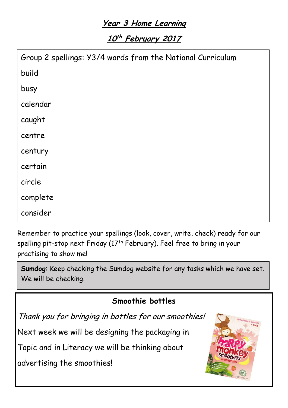# **Year 3 Home Learning**

**10 th February <sup>2017</sup>**

| Group 2 spellings: Y3/4 words from the National Curriculum |
|------------------------------------------------------------|
| build                                                      |
| busy                                                       |
| calendar                                                   |
| caught                                                     |
| centre                                                     |
| century                                                    |
| certain                                                    |
| circle                                                     |
| complete                                                   |
| consider                                                   |

Remember to practice your spellings (look, cover, write, check) ready for our spelling pit-stop next Friday (17<sup>th</sup> February). Feel free to bring in your practising to show me!

**Sumdog**: Keep checking the Sumdog website for any tasks which we have set. We will be checking.

# **Smoothie bottles**

Thank you for bringing in bottles for our smoothies!

Next week we will be designing the packaging in

Topic and in Literacy we will be thinking about

advertising the smoothies!

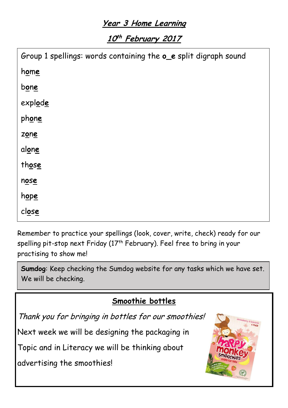# **Year 3 Home Learning**

**10 th February <sup>2017</sup>**

| Group 1 spellings: words containing the oe split digraph sound |  |
|----------------------------------------------------------------|--|
| home                                                           |  |
| bone                                                           |  |
| explode                                                        |  |
| phone                                                          |  |
| zone                                                           |  |
| alone                                                          |  |
| those                                                          |  |
| nose                                                           |  |
| hope                                                           |  |
| close                                                          |  |

Remember to practice your spellings (look, cover, write, check) ready for our spelling pit-stop next Friday (17<sup>th</sup> February). Feel free to bring in your practising to show me! m**i**n**e**

p**i**n**e Sumdog**: Keep checking the Sumdog website for any tasks which we have set. We will be checking.

# **Smoothie bottles**

Thank you for bringing in bottles for our smoothies! t**i**m**e**

Next week we will be designing the packaging in

Topic and in Literacy we will be thinking about

advertising the smoothies!

pr**i**z**e**